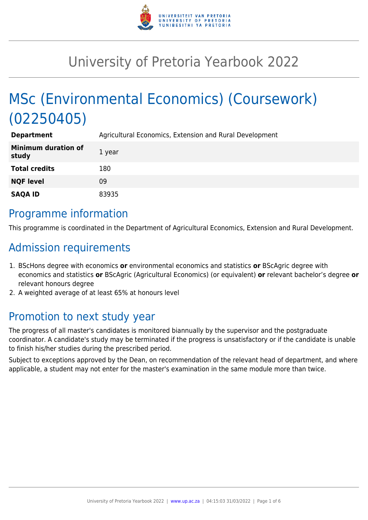

# University of Pretoria Yearbook 2022

# MSc (Environmental Economics) (Coursework) (02250405)

| <b>Department</b>                   | Agricultural Economics, Extension and Rural Development |
|-------------------------------------|---------------------------------------------------------|
| <b>Minimum duration of</b><br>study | 1 year                                                  |
| <b>Total credits</b>                | 180                                                     |
| <b>NQF level</b>                    | 09                                                      |
| <b>SAQA ID</b>                      | 83935                                                   |

### Programme information

This programme is coordinated in the Department of Agricultural Economics, Extension and Rural Development.

### Admission requirements

- 1. BScHons degree with economics **or** environmental economics and statistics **or** BScAgric degree with economics and statistics **or** BScAgric (Agricultural Economics) (or equivalent) **or** relevant bachelor's degree **or** relevant honours degree
- 2. A weighted average of at least 65% at honours level

## Promotion to next study year

The progress of all master's candidates is monitored biannually by the supervisor and the postgraduate coordinator. A candidate's study may be terminated if the progress is unsatisfactory or if the candidate is unable to finish his/her studies during the prescribed period.

Subject to exceptions approved by the Dean, on recommendation of the relevant head of department, and where applicable, a student may not enter for the master's examination in the same module more than twice.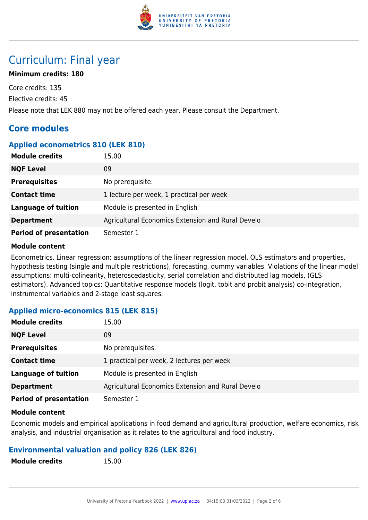

## Curriculum: Final year

#### **Minimum credits: 180**

Core credits: 135 Elective credits: 45 Please note that LEK 880 may not be offered each year. Please consult the Department.

### **Core modules**

#### **Applied econometrics 810 (LEK 810)**

| <b>Module credits</b>         | 15.00                                             |
|-------------------------------|---------------------------------------------------|
| <b>NQF Level</b>              | 09                                                |
| <b>Prerequisites</b>          | No prerequisite.                                  |
| <b>Contact time</b>           | 1 lecture per week, 1 practical per week          |
| <b>Language of tuition</b>    | Module is presented in English                    |
| <b>Department</b>             | Agricultural Economics Extension and Rural Develo |
| <b>Period of presentation</b> | Semester 1                                        |

#### **Module content**

Econometrics. Linear regression: assumptions of the linear regression model, OLS estimators and properties, hypothesis testing (single and multiple restrictions), forecasting, dummy variables. Violations of the linear model assumptions: multi-colinearity, heteroscedasticity, serial correlation and distributed lag models, (GLS estimators). Advanced topics: Quantitative response models (logit, tobit and probit analysis) co-integration, instrumental variables and 2-stage least squares.

#### **Applied micro-economics 815 (LEK 815)**

| <b>Module credits</b>         | 15.00                                             |
|-------------------------------|---------------------------------------------------|
| <b>NQF Level</b>              | 09                                                |
| <b>Prerequisites</b>          | No prerequisites.                                 |
| <b>Contact time</b>           | 1 practical per week, 2 lectures per week         |
| <b>Language of tuition</b>    | Module is presented in English                    |
| <b>Department</b>             | Agricultural Economics Extension and Rural Develo |
| <b>Period of presentation</b> | Semester 1                                        |

#### **Module content**

Economic models and empirical applications in food demand and agricultural production, welfare economics, risk analysis, and industrial organisation as it relates to the agricultural and food industry.

#### **Environmental valuation and policy 826 (LEK 826)**

**Module credits** 15.00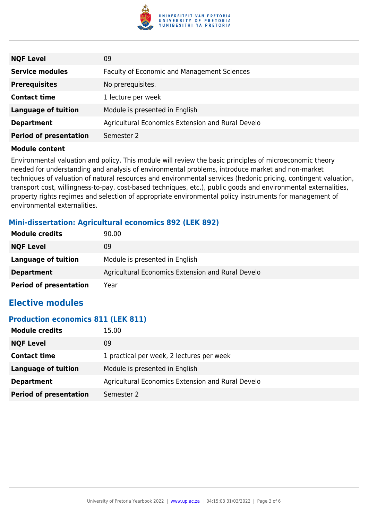

| <b>NQF Level</b>              | 09                                                 |
|-------------------------------|----------------------------------------------------|
| <b>Service modules</b>        | <b>Faculty of Economic and Management Sciences</b> |
| <b>Prerequisites</b>          | No prerequisites.                                  |
| <b>Contact time</b>           | 1 lecture per week                                 |
| <b>Language of tuition</b>    | Module is presented in English                     |
| <b>Department</b>             | Agricultural Economics Extension and Rural Develo  |
| <b>Period of presentation</b> | Semester 2                                         |

Environmental valuation and policy. This module will review the basic principles of microeconomic theory needed for understanding and analysis of environmental problems, introduce market and non-market techniques of valuation of natural resources and environmental services (hedonic pricing, contingent valuation, transport cost, willingness-to-pay, cost-based techniques, etc.), public goods and environmental externalities, property rights regimes and selection of appropriate environmental policy instruments for management of environmental externalities.

#### **Mini-dissertation: Agricultural economics 892 (LEK 892)**

| <b>Module credits</b>         | 90.00                                             |
|-------------------------------|---------------------------------------------------|
| <b>NQF Level</b>              | 09                                                |
| Language of tuition           | Module is presented in English                    |
| <b>Department</b>             | Agricultural Economics Extension and Rural Develo |
| <b>Period of presentation</b> | Year                                              |

### **Elective modules**

#### **Production economics 811 (LEK 811)**

| <b>Module credits</b>         | 15.00                                             |
|-------------------------------|---------------------------------------------------|
| <b>NQF Level</b>              | 09                                                |
| <b>Contact time</b>           | 1 practical per week, 2 lectures per week         |
| Language of tuition           | Module is presented in English                    |
| <b>Department</b>             | Agricultural Economics Extension and Rural Develo |
| <b>Period of presentation</b> | Semester 2                                        |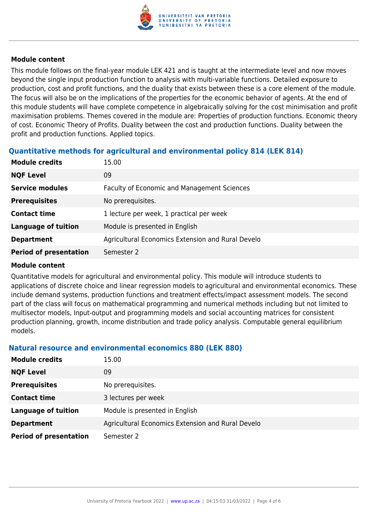

This module follows on the final-year module LEK 421 and is taught at the intermediate level and now moves beyond the single input production function to analysis with multi-variable functions. Detailed exposure to production, cost and profit functions, and the duality that exists between these is a core element of the module. The focus will also be on the implications of the properties for the economic behavior of agents. At the end of this module students will have complete competence in algebraically solving for the cost minimisation and profit maximisation problems. Themes covered in the module are: Properties of production functions. Economic theory of cost. Economic Theory of Profits. Duality between the cost and production functions. Duality between the profit and production functions. Applied topics.

#### **Quantitative methods for agricultural and environmental policy 814 (LEK 814)**

| <b>Module credits</b>         | 15.00                                              |
|-------------------------------|----------------------------------------------------|
| <b>NQF Level</b>              | 09                                                 |
| <b>Service modules</b>        | <b>Faculty of Economic and Management Sciences</b> |
| <b>Prerequisites</b>          | No prerequisites.                                  |
| <b>Contact time</b>           | 1 lecture per week, 1 practical per week           |
| <b>Language of tuition</b>    | Module is presented in English                     |
| <b>Department</b>             | Agricultural Economics Extension and Rural Develo  |
| <b>Period of presentation</b> | Semester 2                                         |

#### **Module content**

Quantitative models for agricultural and environmental policy. This module will introduce students to applications of discrete choice and linear regression models to agricultural and environmental economics. These include demand systems, production functions and treatment effects/impact assessment models. The second part of the class will focus on mathematical programming and numerical methods including but not limited to multisector models, Input-output and programming models and social accounting matrices for consistent production planning, growth, income distribution and trade policy analysis. Computable general equilibrium models.

#### **Natural resource and environmental economics 880 (LEK 880)**

| <b>Module credits</b>         | 15.00                                             |
|-------------------------------|---------------------------------------------------|
| <b>NQF Level</b>              | 09                                                |
| <b>Prerequisites</b>          | No prerequisites.                                 |
| <b>Contact time</b>           | 3 lectures per week                               |
| <b>Language of tuition</b>    | Module is presented in English                    |
| <b>Department</b>             | Agricultural Economics Extension and Rural Develo |
| <b>Period of presentation</b> | Semester 2                                        |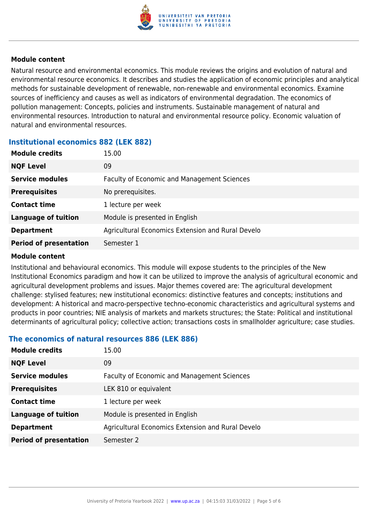

Natural resource and environmental economics. This module reviews the origins and evolution of natural and environmental resource economics. It describes and studies the application of economic principles and analytical methods for sustainable development of renewable, non-renewable and environmental economics. Examine sources of inefficiency and causes as well as indicators of environmental degradation. The economics of pollution management: Concepts, policies and instruments. Sustainable management of natural and environmental resources. Introduction to natural and environmental resource policy. Economic valuation of natural and environmental resources.

#### **Institutional economics 882 (LEK 882)**

| <b>Module credits</b>         | 15.00                                              |
|-------------------------------|----------------------------------------------------|
| <b>NQF Level</b>              | 09                                                 |
| <b>Service modules</b>        | <b>Faculty of Economic and Management Sciences</b> |
| <b>Prerequisites</b>          | No prerequisites.                                  |
| <b>Contact time</b>           | 1 lecture per week                                 |
| <b>Language of tuition</b>    | Module is presented in English                     |
| <b>Department</b>             | Agricultural Economics Extension and Rural Develo  |
| <b>Period of presentation</b> | Semester 1                                         |

#### **Module content**

Institutional and behavioural economics. This module will expose students to the principles of the New Institutional Economics paradigm and how it can be utilized to improve the analysis of agricultural economic and agricultural development problems and issues. Major themes covered are: The agricultural development challenge: stylised features; new institutional economics: distinctive features and concepts; institutions and development: A historical and macro-perspective techno-economic characteristics and agricultural systems and products in poor countries; NIE analysis of markets and markets structures; the State: Political and institutional determinants of agricultural policy; collective action; transactions costs in smallholder agriculture; case studies.

#### **The economics of natural resources 886 (LEK 886)**

| <b>Module credits</b>         | 15.00                                              |
|-------------------------------|----------------------------------------------------|
| <b>NQF Level</b>              | 09                                                 |
| <b>Service modules</b>        | <b>Faculty of Economic and Management Sciences</b> |
| <b>Prerequisites</b>          | LEK 810 or equivalent                              |
| <b>Contact time</b>           | 1 lecture per week                                 |
| <b>Language of tuition</b>    | Module is presented in English                     |
| <b>Department</b>             | Agricultural Economics Extension and Rural Develo  |
| <b>Period of presentation</b> | Semester 2                                         |